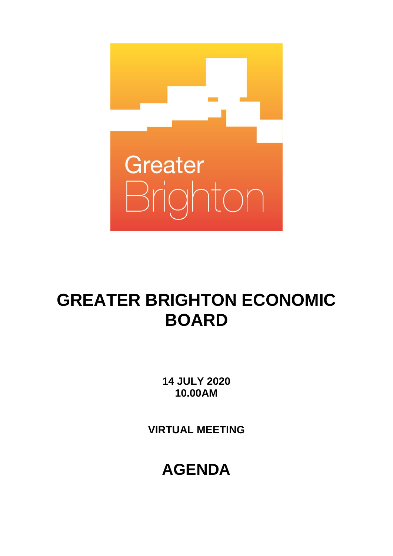

# **GREATER BRIGHTON ECONOMIC BOARD**

**14 JULY 2020 10.00AM**

**VIRTUAL MEETING**

## **AGENDA**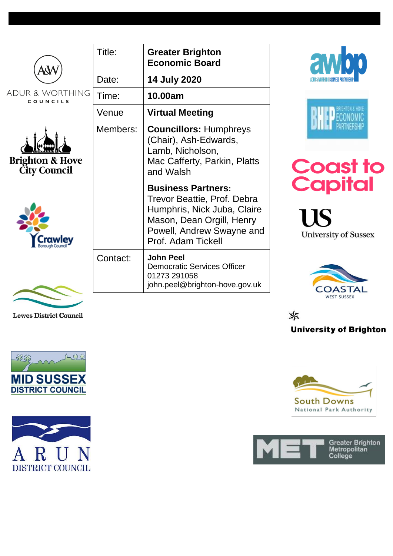|                                                   | Title:   | <b>Greater Brighton</b><br><b>Economic Board</b>                                                                                                                        | <b>aw</b>                         |
|---------------------------------------------------|----------|-------------------------------------------------------------------------------------------------------------------------------------------------------------------------|-----------------------------------|
|                                                   | Date:    | <b>14 July 2020</b>                                                                                                                                                     |                                   |
| ADUR & WORTHING<br>COUNCILS                       | Time:    | 10.00am                                                                                                                                                                 |                                   |
|                                                   | Venue    | <b>Virtual Meeting</b>                                                                                                                                                  |                                   |
| <b>Brighton &amp; Hove</b><br><b>City Council</b> | Members: | <b>Councillors: Humphreys</b><br>(Chair), Ash-Edwards,<br>Lamb, Nicholson,<br>Mac Cafferty, Parkin, Platts<br>and Walsh                                                 | <b>Coast to<br/>Capital</b>       |
|                                                   |          | <b>Business Partners:</b><br>Trevor Beattie, Prof. Debra<br>Humphris, Nick Juba, Claire<br>Mason, Dean Orgill, Henry<br>Powell, Andrew Swayne and<br>Prof. Adam Tickell | US<br><b>University of Sussex</b> |
|                                                   | Contact: | <b>John Peel</b><br><b>Democratic Services Officer</b><br>01273 291058<br>john.peel@brighton-hove.gov.uk                                                                | WEST SUSSEX                       |

**Lewes District Council** 





\* **University of Brighton** 

to



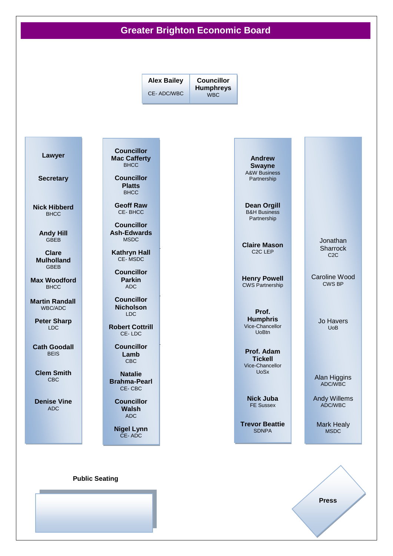## **Greater Brighton Economic Board**

| <b>Alex Bailey</b> | <b>Councillor</b>       |
|--------------------|-------------------------|
| CE-ADC/WBC         | <b>Humphreys</b><br>WBC |

**Lawyer**

**Secretary**

**Nick Hibberd BHCC** 

> **Andy Hill GBEB**

**Clare Mulholland** GBEB

**Max Woodford BHCC** 

**Martin Randall** WBC/ADC

**Peter Sharp** LDC

**Cath Goodall BEIS** 

**Clem Smith** CBC

**Denise Vine** ADC

**Councillor Mac Cafferty BHCC** 

**Councillor Platts BHCC** 

**Geoff Raw** CE- BHCC

**Councillor Ash-Edwards** MSDC

**Kathryn Hall** CE- MSDC

**Councillor Parkin** ADC

**Councillor Nicholson** LDC

**Robert Cottrill** CE- LDC

> **Councillor Lamb** CBC

**Natalie Brahma-Pearl** CE- CBC

> **Councillor Walsh** ADC

**Nigel Lynn** CE- ADC

**Andrew Swayne** A&W Business Partnership

**Dean Orgill** B&H Business Partnership

**Claire Mason** C2C LEP

**Henry Powell** CWS Partnership

**Prof. Humphris** Vice-Chancellor UoBtn

**Prof. Adam Tickell** Vice-Chancellor UoSx

**Nick Juba** FE Sussex

**Trevor Beattie** SDNPA

**Jonathan Sharrock** C<sub>2</sub>C

Caroline Wood CWS BP

> Jo Havers UoB

Alan Higgins ADC/WBC

Andy Willems ADC/WBC

> Mark Healy MSDC

**Press**

## **Public Seating**

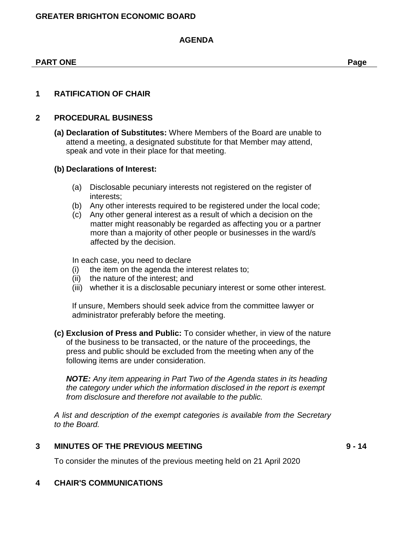#### **GREATER BRIGHTON ECONOMIC BOARD**

#### **AGENDA**

#### **PART ONE Page**

## **1 RATIFICATION OF CHAIR**

## **2 PROCEDURAL BUSINESS**

**(a) Declaration of Substitutes:** Where Members of the Board are unable to attend a meeting, a designated substitute for that Member may attend, speak and vote in their place for that meeting.

#### **(b) Declarations of Interest:**

- (a) Disclosable pecuniary interests not registered on the register of interests;
- (b) Any other interests required to be registered under the local code;
- (c) Any other general interest as a result of which a decision on the matter might reasonably be regarded as affecting you or a partner more than a majority of other people or businesses in the ward/s affected by the decision.

In each case, you need to declare

- (i) the item on the agenda the interest relates to;
- (ii) the nature of the interest; and
- (iii) whether it is a disclosable pecuniary interest or some other interest.

If unsure, Members should seek advice from the committee lawyer or administrator preferably before the meeting.

**(c) Exclusion of Press and Public:** To consider whether, in view of the nature of the business to be transacted, or the nature of the proceedings, the press and public should be excluded from the meeting when any of the following items are under consideration.

*NOTE: Any item appearing in Part Two of the Agenda states in its heading the category under which the information disclosed in the report is exempt from disclosure and therefore not available to the public.*

*A list and description of the exempt categories is available from the Secretary to the Board.*

## **3 MINUTES OF THE PREVIOUS MEETING 9 - 14**

To consider the minutes of the previous meeting held on 21 April 2020

## **4 CHAIR'S COMMUNICATIONS**